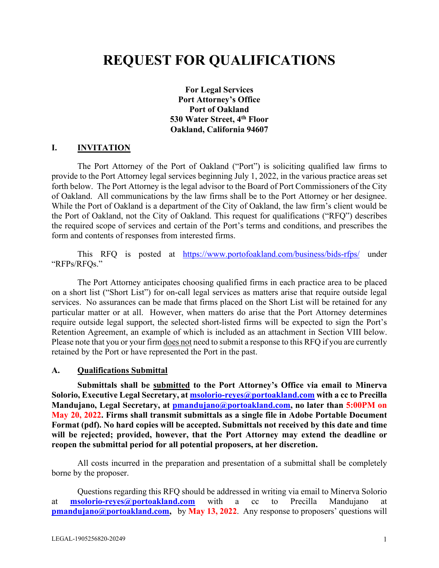# **REQUEST FOR QUALIFICATIONS**

**For Legal Services Port Attorney's Office Port of Oakland 530 Water Street, 4th Floor Oakland, California 94607**

#### **I. INVITATION**

The Port Attorney of the Port of Oakland ("Port") is soliciting qualified law firms to provide to the Port Attorney legal services beginning July 1, 2022, in the various practice areas set forth below. The Port Attorney is the legal advisor to the Board of Port Commissioners of the City of Oakland. All communications by the law firms shall be to the Port Attorney or her designee. While the Port of Oakland is a department of the City of Oakland, the law firm's client would be the Port of Oakland, not the City of Oakland. This request for qualifications ("RFQ") describes the required scope of services and certain of the Port's terms and conditions, and prescribes the form and contents of responses from interested firms.

This RFQ is posted at <https://www.portofoakland.com/business/bids-rfps/> under "RFPs/RFQs."

The Port Attorney anticipates choosing qualified firms in each practice area to be placed on a short list ("Short List") for on-call legal services as matters arise that require outside legal services. No assurances can be made that firms placed on the Short List will be retained for any particular matter or at all. However, when matters do arise that the Port Attorney determines require outside legal support, the selected short-listed firms will be expected to sign the Port's Retention Agreement, an example of which is included as an attachment in Section VIII below. Please note that you or your firm does not need to submit a response to this RFQ if you are currently retained by the Port or have represented the Port in the past.

#### **A. Qualifications Submittal**

**Submittals shall be submitted to the Port Attorney's Office via email to Minerva Solorio, Executive Legal Secretary, at [msolorio-reyes@portoakland.com](mailto:msolorio-reyes@portoakland.com) with a cc to Precilla Mandujano, Legal Secretary, at [pmandujano@portoakland.com,](mailto:pmandujano@portoakland.com) no later than 5:00PM on May 20, 2022. Firms shall transmit submittals as a single file in Adobe Portable Document Format (pdf). No hard copies will be accepted. Submittals not received by this date and time will be rejected; provided, however, that the Port Attorney may extend the deadline or reopen the submittal period for all potential proposers, at her discretion.**

All costs incurred in the preparation and presentation of a submittal shall be completely borne by the proposer.

Questions regarding this RFQ should be addressed in writing via email to Minerva Solorio at **msolorio-reyes@portoakland.com** with a cc to Precilla Mandujano at **[pmandujano@portoakland.com,](mailto:pmandujano@portoakland.com)** by May 13, 2022. Any response to proposers' questions will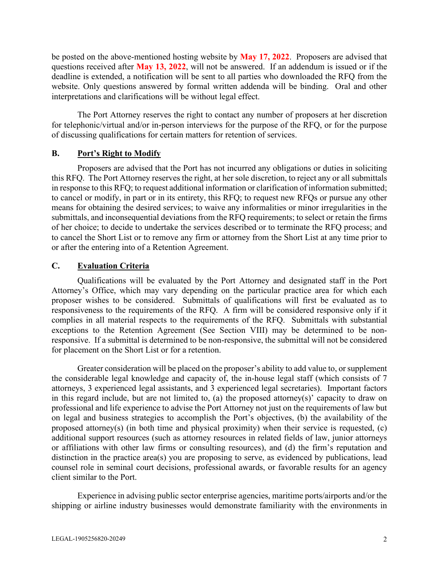be posted on the above-mentioned hosting website by **May 17, 2022**. Proposers are advised that questions received after **May 13, 2022**, will not be answered. If an addendum is issued or if the deadline is extended, a notification will be sent to all parties who downloaded the RFQ from the website. Only questions answered by formal written addenda will be binding. Oral and other interpretations and clarifications will be without legal effect.

The Port Attorney reserves the right to contact any number of proposers at her discretion for telephonic/virtual and/or in-person interviews for the purpose of the RFQ, or for the purpose of discussing qualifications for certain matters for retention of services.

### **B. Port's Right to Modify**

Proposers are advised that the Port has not incurred any obligations or duties in soliciting this RFQ. The Port Attorney reserves the right, at her sole discretion, to reject any or all submittals in response to this RFQ; to request additional information or clarification of information submitted; to cancel or modify, in part or in its entirety, this RFQ; to request new RFQs or pursue any other means for obtaining the desired services; to waive any informalities or minor irregularities in the submittals, and inconsequential deviations from the RFQ requirements; to select or retain the firms of her choice; to decide to undertake the services described or to terminate the RFQ process; and to cancel the Short List or to remove any firm or attorney from the Short List at any time prior to or after the entering into of a Retention Agreement.

### **C. Evaluation Criteria**

Qualifications will be evaluated by the Port Attorney and designated staff in the Port Attorney's Office, which may vary depending on the particular practice area for which each proposer wishes to be considered. Submittals of qualifications will first be evaluated as to responsiveness to the requirements of the RFQ. A firm will be considered responsive only if it complies in all material respects to the requirements of the RFQ. Submittals with substantial exceptions to the Retention Agreement (See Section VIII) may be determined to be nonresponsive. If a submittal is determined to be non-responsive, the submittal will not be considered for placement on the Short List or for a retention.

Greater consideration will be placed on the proposer's ability to add value to, or supplement the considerable legal knowledge and capacity of, the in-house legal staff (which consists of 7 attorneys, 3 experienced legal assistants, and 3 experienced legal secretaries). Important factors in this regard include, but are not limited to, (a) the proposed attorney(s)' capacity to draw on professional and life experience to advise the Port Attorney not just on the requirements of law but on legal and business strategies to accomplish the Port's objectives, (b) the availability of the proposed attorney(s) (in both time and physical proximity) when their service is requested, (c) additional support resources (such as attorney resources in related fields of law, junior attorneys or affiliations with other law firms or consulting resources), and (d) the firm's reputation and distinction in the practice area(s) you are proposing to serve, as evidenced by publications, lead counsel role in seminal court decisions, professional awards, or favorable results for an agency client similar to the Port.

Experience in advising public sector enterprise agencies, maritime ports/airports and/or the shipping or airline industry businesses would demonstrate familiarity with the environments in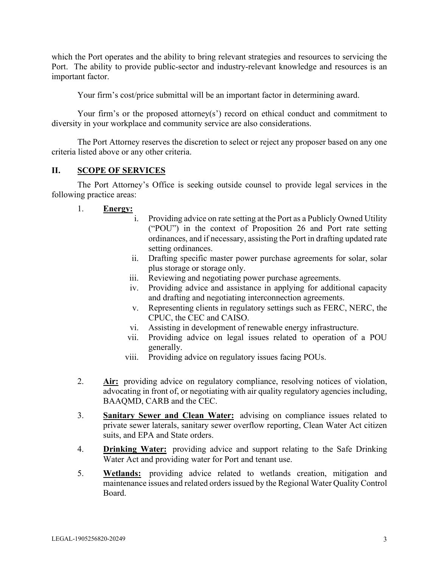which the Port operates and the ability to bring relevant strategies and resources to servicing the Port. The ability to provide public-sector and industry-relevant knowledge and resources is an important factor.

Your firm's cost/price submittal will be an important factor in determining award.

Your firm's or the proposed attorney(s') record on ethical conduct and commitment to diversity in your workplace and community service are also considerations.

The Port Attorney reserves the discretion to select or reject any proposer based on any one criteria listed above or any other criteria.

## **II. SCOPE OF SERVICES**

The Port Attorney's Office is seeking outside counsel to provide legal services in the following practice areas:

- 1. **Energy:**
	- i. Providing advice on rate setting at the Port as a Publicly Owned Utility ("POU") in the context of Proposition 26 and Port rate setting ordinances, and if necessary, assisting the Port in drafting updated rate setting ordinances.
	- ii. Drafting specific master power purchase agreements for solar, solar plus storage or storage only.
	- iii. Reviewing and negotiating power purchase agreements.
	- iv. Providing advice and assistance in applying for additional capacity and drafting and negotiating interconnection agreements.
	- v. Representing clients in regulatory settings such as FERC, NERC, the CPUC, the CEC and CAISO.
	- vi. Assisting in development of renewable energy infrastructure.
	- vii. Providing advice on legal issues related to operation of a POU generally.
	- viii. Providing advice on regulatory issues facing POUs.
- 2. **Air:** providing advice on regulatory compliance, resolving notices of violation, advocating in front of, or negotiating with air quality regulatory agencies including, BAAQMD, CARB and the CEC.
- 3. **Sanitary Sewer and Clean Water:** advising on compliance issues related to private sewer laterals, sanitary sewer overflow reporting, Clean Water Act citizen suits, and EPA and State orders.
- 4. **Drinking Water:** providing advice and support relating to the Safe Drinking Water Act and providing water for Port and tenant use.
- 5. **Wetlands:** providing advice related to wetlands creation, mitigation and maintenance issues and related orders issued by the Regional Water Quality Control Board.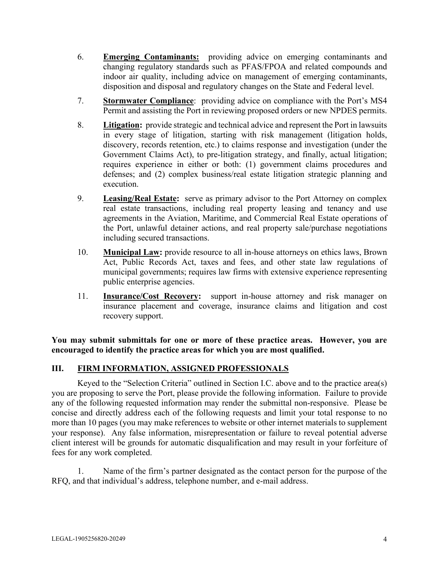- 6. **Emerging Contaminants:** providing advice on emerging contaminants and changing regulatory standards such as PFAS/FPOA and related compounds and indoor air quality, including advice on management of emerging contaminants, disposition and disposal and regulatory changes on the State and Federal level.
- 7. **Stormwater Compliance**: providing advice on compliance with the Port's MS4 Permit and assisting the Port in reviewing proposed orders or new NPDES permits.
- 8. **Litigation:** provide strategic and technical advice and represent the Port in lawsuits in every stage of litigation, starting with risk management (litigation holds, discovery, records retention, etc.) to claims response and investigation (under the Government Claims Act), to pre-litigation strategy, and finally, actual litigation; requires experience in either or both: (1) government claims procedures and defenses; and (2) complex business/real estate litigation strategic planning and execution.
- 9. **Leasing/Real Estate:** serve as primary advisor to the Port Attorney on complex real estate transactions, including real property leasing and tenancy and use agreements in the Aviation, Maritime, and Commercial Real Estate operations of the Port, unlawful detainer actions, and real property sale/purchase negotiations including secured transactions.
- 10. **Municipal Law:** provide resource to all in-house attorneys on ethics laws, Brown Act, Public Records Act, taxes and fees, and other state law regulations of municipal governments; requires law firms with extensive experience representing public enterprise agencies.
- 11. **Insurance/Cost Recovery:** support in-house attorney and risk manager on insurance placement and coverage, insurance claims and litigation and cost recovery support.

**You may submit submittals for one or more of these practice areas. However, you are encouraged to identify the practice areas for which you are most qualified.**

## **III. FIRM INFORMATION, ASSIGNED PROFESSIONALS**

Keyed to the "Selection Criteria" outlined in Section I.C. above and to the practice area(s) you are proposing to serve the Port, please provide the following information. Failure to provide any of the following requested information may render the submittal non-responsive. Please be concise and directly address each of the following requests and limit your total response to no more than 10 pages (you may make references to website or other internet materials to supplement your response). Any false information, misrepresentation or failure to reveal potential adverse client interest will be grounds for automatic disqualification and may result in your forfeiture of fees for any work completed.

1. Name of the firm's partner designated as the contact person for the purpose of the RFQ, and that individual's address, telephone number, and e-mail address.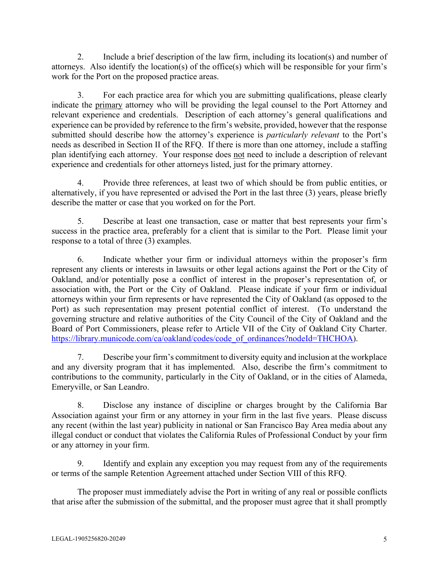2. Include a brief description of the law firm, including its location(s) and number of attorneys. Also identify the location(s) of the office(s) which will be responsible for your firm's work for the Port on the proposed practice areas.

3. For each practice area for which you are submitting qualifications, please clearly indicate the primary attorney who will be providing the legal counsel to the Port Attorney and relevant experience and credentials. Description of each attorney's general qualifications and experience can be provided by reference to the firm's website, provided, however that the response submitted should describe how the attorney's experience is *particularly relevant* to the Port's needs as described in Section II of the RFQ. If there is more than one attorney, include a staffing plan identifying each attorney. Your response does not need to include a description of relevant experience and credentials for other attorneys listed, just for the primary attorney.

4. Provide three references, at least two of which should be from public entities, or alternatively, if you have represented or advised the Port in the last three (3) years, please briefly describe the matter or case that you worked on for the Port.

5. Describe at least one transaction, case or matter that best represents your firm's success in the practice area, preferably for a client that is similar to the Port. Please limit your response to a total of three (3) examples.

6. Indicate whether your firm or individual attorneys within the proposer's firm represent any clients or interests in lawsuits or other legal actions against the Port or the City of Oakland, and/or potentially pose a conflict of interest in the proposer's representation of, or association with, the Port or the City of Oakland. Please indicate if your firm or individual attorneys within your firm represents or have represented the City of Oakland (as opposed to the Port) as such representation may present potential conflict of interest. (To understand the governing structure and relative authorities of the City Council of the City of Oakland and the Board of Port Commissioners, please refer to Article VII of the City of Oakland City Charter. [https://library.municode.com/ca/oakland/codes/code\\_of\\_ordinances?nodeId=THCHOA\)](https://library.municode.com/ca/oakland/codes/code_of_ordinances?nodeId=THCHOA).

7. Describe your firm's commitment to diversity equity and inclusion at the workplace and any diversity program that it has implemented. Also, describe the firm's commitment to contributions to the community, particularly in the City of Oakland, or in the cities of Alameda, Emeryville, or San Leandro.

8. Disclose any instance of discipline or charges brought by the California Bar Association against your firm or any attorney in your firm in the last five years. Please discuss any recent (within the last year) publicity in national or San Francisco Bay Area media about any illegal conduct or conduct that violates the California Rules of Professional Conduct by your firm or any attorney in your firm.

9. Identify and explain any exception you may request from any of the requirements or terms of the sample Retention Agreement attached under Section VIII of this RFQ.

The proposer must immediately advise the Port in writing of any real or possible conflicts that arise after the submission of the submittal, and the proposer must agree that it shall promptly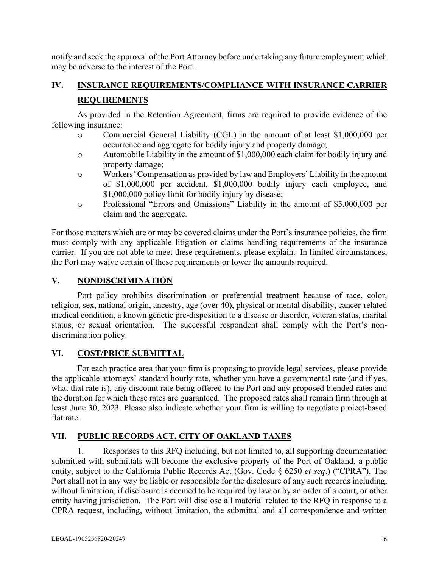notify and seek the approval of the Port Attorney before undertaking any future employment which may be adverse to the interest of the Port.

## **IV. INSURANCE REQUIREMENTS/COMPLIANCE WITH INSURANCE CARRIER REQUIREMENTS**

As provided in the Retention Agreement, firms are required to provide evidence of the following insurance:

- o Commercial General Liability (CGL) in the amount of at least \$1,000,000 per occurrence and aggregate for bodily injury and property damage;
- o Automobile Liability in the amount of \$1,000,000 each claim for bodily injury and property damage;
- o Workers' Compensation as provided by law and Employers' Liability in the amount of \$1,000,000 per accident, \$1,000,000 bodily injury each employee, and \$1,000,000 policy limit for bodily injury by disease;
- o Professional "Errors and Omissions" Liability in the amount of \$5,000,000 per claim and the aggregate.

For those matters which are or may be covered claims under the Port's insurance policies, the firm must comply with any applicable litigation or claims handling requirements of the insurance carrier. If you are not able to meet these requirements, please explain. In limited circumstances, the Port may waive certain of these requirements or lower the amounts required.

## **V. NONDISCRIMINATION**

Port policy prohibits discrimination or preferential treatment because of race, color, religion, sex, national origin, ancestry, age (over 40), physical or mental disability, cancer-related medical condition, a known genetic pre-disposition to a disease or disorder, veteran status, marital status, or sexual orientation. The successful respondent shall comply with the Port's nondiscrimination policy.

## **VI. COST/PRICE SUBMITTAL**

For each practice area that your firm is proposing to provide legal services, please provide the applicable attorneys' standard hourly rate, whether you have a governmental rate (and if yes, what that rate is), any discount rate being offered to the Port and any proposed blended rates and the duration for which these rates are guaranteed. The proposed rates shall remain firm through at least June 30, 2023. Please also indicate whether your firm is willing to negotiate project-based flat rate.

## **VII. PUBLIC RECORDS ACT, CITY OF OAKLAND TAXES**

1. Responses to this RFQ including, but not limited to, all supporting documentation submitted with submittals will become the exclusive property of the Port of Oakland, a public entity, subject to the California Public Records Act (Gov. Code § 6250 *et seq*.) ("CPRA"). The Port shall not in any way be liable or responsible for the disclosure of any such records including, without limitation, if disclosure is deemed to be required by law or by an order of a court, or other entity having jurisdiction. The Port will disclose all material related to the RFQ in response to a CPRA request, including, without limitation, the submittal and all correspondence and written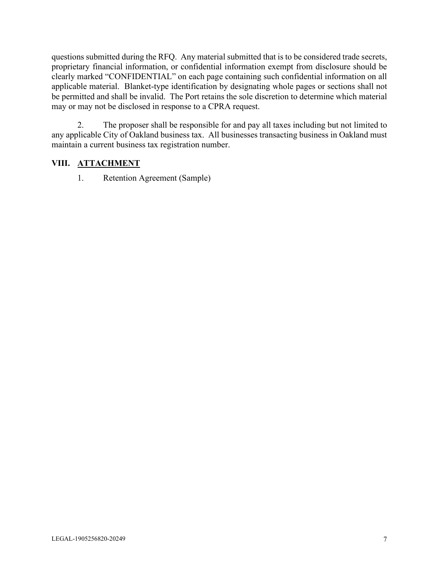questions submitted during the RFQ. Any material submitted that is to be considered trade secrets, proprietary financial information, or confidential information exempt from disclosure should be clearly marked "CONFIDENTIAL" on each page containing such confidential information on all applicable material. Blanket-type identification by designating whole pages or sections shall not be permitted and shall be invalid. The Port retains the sole discretion to determine which material may or may not be disclosed in response to a CPRA request.

2. The proposer shall be responsible for and pay all taxes including but not limited to any applicable City of Oakland business tax. All businesses transacting business in Oakland must maintain a current business tax registration number.

## **VIII. ATTACHMENT**

1. Retention Agreement (Sample)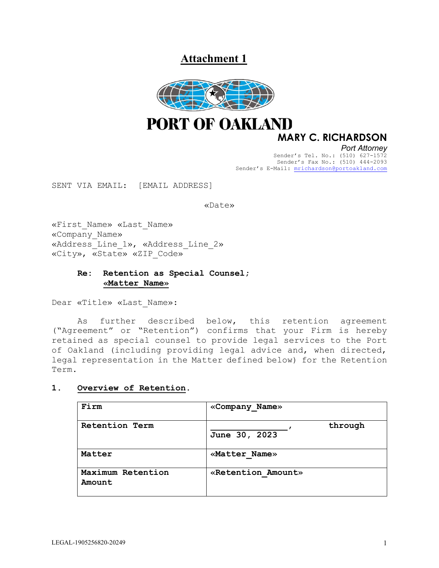**Attachment 1**



**PORT OF OAKLAND** 

## **MARY C. RICHARDSON**

*Port Attorney* Sender's Tel. No.: (510) 627-1572 Sender's Fax No.: (510) 444-2093 Sender's E-Mail: [mrichardson@portoakland.com](mailto:mrichardson@portoakland.com)

SENT VIA EMAIL: [EMAIL ADDRESS]

#### «Date»

«First\_Name» «Last\_Name» «Company\_Name» «Address\_Line\_1», «Address\_Line\_2» «City», «State» «ZIP\_Code»

#### **Re: Retention as Special Counsel; «Matter\_Name»**

Dear «Title» «Last\_Name»:

As further described below, this retention agreement ("Agreement" or "Retention") confirms that your Firm is hereby retained as special counsel to provide legal services to the Port of Oakland (including providing legal advice and, when directed, legal representation in the Matter defined below) for the Retention Term.

#### **1. Overview of Retention.**

| Firm                        | «Company Name»           |
|-----------------------------|--------------------------|
| Retention Term              | through<br>June 30, 2023 |
| Matter                      | «Matter Name»            |
| Maximum Retention<br>Amount | «Retention Amount»       |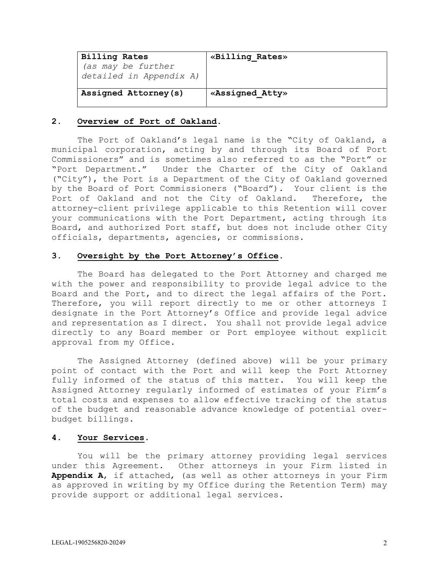| <b>Billing Rates</b>    | «Billing Rates» |
|-------------------------|-----------------|
| (as may be further      |                 |
| detailed in Appendix A) |                 |
|                         |                 |
| Assigned Attorney(s)    | «Assigned Atty» |
|                         |                 |

#### **2. Overview of Port of Oakland.**

The Port of Oakland's legal name is the "City of Oakland, a municipal corporation, acting by and through its Board of Port Commissioners" and is sometimes also referred to as the "Port" or "Port Department." Under the Charter of the City of Oakland ("City"), the Port is a Department of the City of Oakland governed by the Board of Port Commissioners ("Board"). Your client is the Port of Oakland and not the City of Oakland. Therefore, the attorney-client privilege applicable to this Retention will cover your communications with the Port Department, acting through its Board, and authorized Port staff, but does not include other City officials, departments, agencies, or commissions.

#### **3. Oversight by the Port Attorney's Office.**

The Board has delegated to the Port Attorney and charged me with the power and responsibility to provide legal advice to the Board and the Port, and to direct the legal affairs of the Port. Therefore, you will report directly to me or other attorneys I designate in the Port Attorney's Office and provide legal advice and representation as I direct. You shall not provide legal advice directly to any Board member or Port employee without explicit approval from my Office.

The Assigned Attorney (defined above) will be your primary point of contact with the Port and will keep the Port Attorney fully informed of the status of this matter. You will keep the Assigned Attorney regularly informed of estimates of your Firm's total costs and expenses to allow effective tracking of the status of the budget and reasonable advance knowledge of potential overbudget billings.

#### **4. Your Services.**

You will be the primary attorney providing legal services under this Agreement. Other attorneys in your Firm listed in **Appendix A**, if attached, (as well as other attorneys in your Firm as approved in writing by my Office during the Retention Term) may provide support or additional legal services.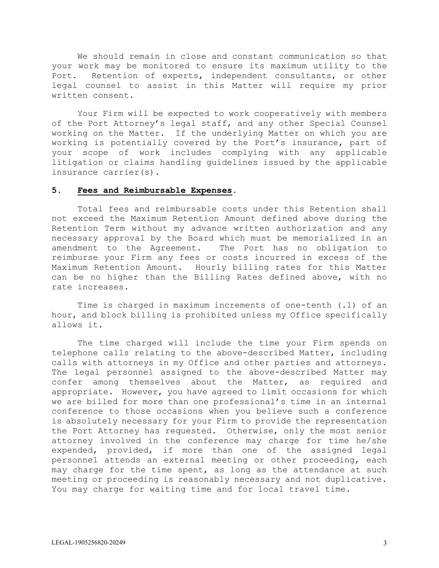We should remain in close and constant communication so that your work may be monitored to ensure its maximum utility to the Port. Retention of experts, independent consultants, or other legal counsel to assist in this Matter will require my prior written consent.

Your Firm will be expected to work cooperatively with members of the Port Attorney's legal staff, and any other Special Counsel working on the Matter. If the underlying Matter on which you are working is potentially covered by the Port's insurance, part of your scope of work includes complying with any applicable litigation or claims handling guidelines issued by the applicable insurance carrier(s).

#### **5. Fees and Reimbursable Expenses.**

Total fees and reimbursable costs under this Retention shall not exceed the Maximum Retention Amount defined above during the Retention Term without my advance written authorization and any necessary approval by the Board which must be memorialized in an amendment to the Agreement. The Port has no obligation to reimburse your Firm any fees or costs incurred in excess of the Maximum Retention Amount. Hourly billing rates for this Matter can be no higher than the Billing Rates defined above, with no rate increases.

Time is charged in maximum increments of one-tenth (.1) of an hour, and block billing is prohibited unless my Office specifically allows it.

The time charged will include the time your Firm spends on telephone calls relating to the above-described Matter, including calls with attorneys in my Office and other parties and attorneys. The legal personnel assigned to the above-described Matter may confer among themselves about the Matter, as required and appropriate. However, you have agreed to limit occasions for which we are billed for more than one professional's time in an internal conference to those occasions when you believe such a conference is absolutely necessary for your Firm to provide the representation the Port Attorney has requested. Otherwise, only the most senior attorney involved in the conference may charge for time he/she expended, provided, if more than one of the assigned legal personnel attends an external meeting or other proceeding, each may charge for the time spent, as long as the attendance at such meeting or proceeding is reasonably necessary and not duplicative. You may charge for waiting time and for local travel time.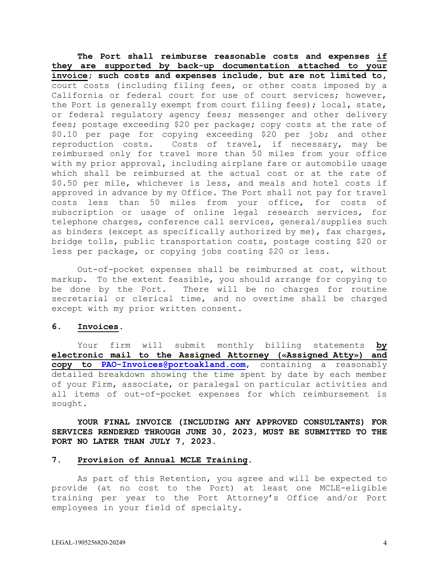**The Port shall reimburse reasonable costs and expenses if they are supported by back-up documentation attached to your invoice; such costs and expenses include, but are not limited to,** court costs (including filing fees, or other costs imposed by a California or federal court for use of court services; however, the Port is generally exempt from court filing fees); local, state, or federal regulatory agency fees; messenger and other delivery fees; postage exceeding \$20 per package; copy costs at the rate of \$0.10 per page for copying exceeding \$20 per job; and other reproduction costs. Costs of travel, if necessary, may be reimbursed only for travel more than 50 miles from your office with my prior approval, including airplane fare or automobile usage which shall be reimbursed at the actual cost or at the rate of \$0.50 per mile, whichever is less, and meals and hotel costs if approved in advance by my Office. The Port shall not pay for travel costs less than 50 miles from your office, for costs of subscription or usage of online legal research services, for telephone charges, conference call services, general/supplies such as binders (except as specifically authorized by me), fax charges, bridge tolls, public transportation costs, postage costing \$20 or less per package, or copying jobs costing \$20 or less.

Out-of-pocket expenses shall be reimbursed at cost, without markup. To the extent feasible, you should arrange for copying to be done by the Port. There will be no charges for routine secretarial or clerical time, and no overtime shall be charged except with my prior written consent.

#### **6. Invoices.**

Your firm will submit monthly billing statements **by electronic mail to the Assigned Attorney («Assigned\_Atty») and copy to [PAO-Invoices@portoakland.com](mailto:PAO-Invoices@portoakland.com)**, containing a reasonably detailed breakdown showing the time spent by date by each member of your Firm, associate, or paralegal on particular activities and all items of out-of-pocket expenses for which reimbursement is sought.

**YOUR FINAL INVOICE (INCLUDING ANY APPROVED CONSULTANTS) FOR SERVICES RENDERED THROUGH JUNE 30, 2023, MUST BE SUBMITTED TO THE PORT NO LATER THAN JULY 7, 2023.**

#### **7. Provision of Annual MCLE Training.**

As part of this Retention, you agree and will be expected to provide (at no cost to the Port) at least one MCLE-eligible training per year to the Port Attorney's Office and/or Port employees in your field of specialty.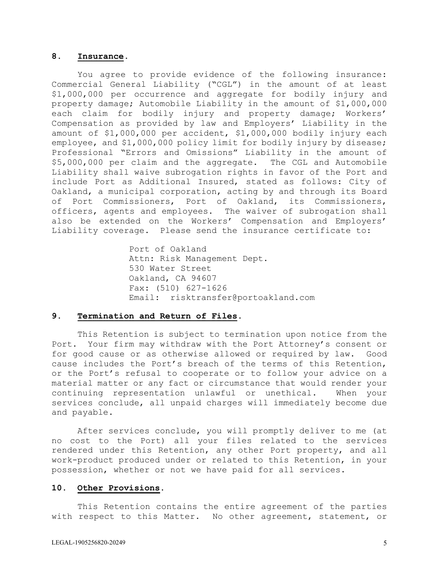#### **8. Insurance.**

You agree to provide evidence of the following insurance: Commercial General Liability ("CGL") in the amount of at least \$1,000,000 per occurrence and aggregate for bodily injury and property damage; Automobile Liability in the amount of \$1,000,000 each claim for bodily injury and property damage; Workers' Compensation as provided by law and Employers' Liability in the amount of \$1,000,000 per accident, \$1,000,000 bodily injury each employee, and \$1,000,000 policy limit for bodily injury by disease; Professional "Errors and Omissions" Liability in the amount of<br>\$5,000,000 per claim and the aggregate. The CGL and Automobile \$5,000,000 per claim and the aggregate. Liability shall waive subrogation rights in favor of the Port and include Port as Additional Insured, stated as follows: City of Oakland, a municipal corporation, acting by and through its Board of Port Commissioners, Port of Oakland, its Commissioners, officers, agents and employees. The waiver of subrogation shall also be extended on the Workers' Compensation and Employers' Liability coverage. Please send the insurance certificate to:

> Port of Oakland Attn: Risk Management Dept. 530 Water Street Oakland, CA 94607 Fax: (510) 627-1626 Email: risktransfer@portoakland.com

#### **9. Termination and Return of Files.**

This Retention is subject to termination upon notice from the Port. Your firm may withdraw with the Port Attorney's consent or for good cause or as otherwise allowed or required by law. Good cause includes the Port's breach of the terms of this Retention, or the Port's refusal to cooperate or to follow your advice on a material matter or any fact or circumstance that would render your continuing representation unlawful or unethical. When your services conclude, all unpaid charges will immediately become due and payable.

After services conclude, you will promptly deliver to me (at no cost to the Port) all your files related to the services rendered under this Retention, any other Port property, and all work-product produced under or related to this Retention, in your possession, whether or not we have paid for all services.

#### **10. Other Provisions.**

This Retention contains the entire agreement of the parties with respect to this Matter. No other agreement, statement, or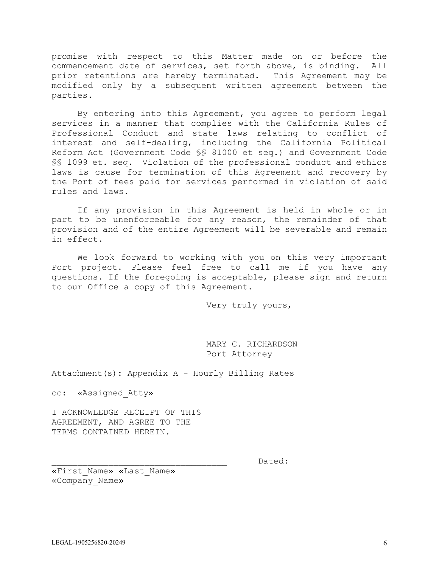promise with respect to this Matter made on or before the commencement date of services, set forth above, is binding. All<br>prior retentions are hereby terminated. This Agreement may be prior retentions are hereby terminated. modified only by a subsequent written agreement between the parties.

By entering into this Agreement, you agree to perform legal services in a manner that complies with the California Rules of Professional Conduct and state laws relating to conflict of interest and self-dealing, including the California Political Reform Act (Government Code §§ 81000 et seq.) and Government Code §§ 1099 et. seq. Violation of the professional conduct and ethics laws is cause for termination of this Agreement and recovery by the Port of fees paid for services performed in violation of said rules and laws.

If any provision in this Agreement is held in whole or in part to be unenforceable for any reason, the remainder of that provision and of the entire Agreement will be severable and remain in effect.

We look forward to working with you on this very important Port project. Please feel free to call me if you have any questions. If the foregoing is acceptable, please sign and return to our Office a copy of this Agreement.

Very truly yours,

MARY C. RICHARDSON Port Attorney

Attachment(s): Appendix A - Hourly Billing Rates

cc: «Assigned\_Atty»

I ACKNOWLEDGE RECEIPT OF THIS AGREEMENT, AND AGREE TO THE TERMS CONTAINED HEREIN.

\_\_\_\_\_\_\_\_\_\_\_\_\_\_\_\_\_\_\_\_\_\_\_\_\_\_\_\_\_\_\_\_\_\_ Dated:

«First\_Name» «Last\_Name» «Company\_Name»